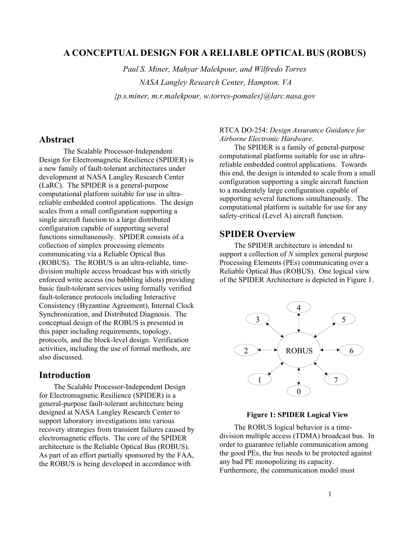# **A CONCEPTUAL DESIGN FOR A RELIABLE OPTICAL BUS (ROBUS)**

*Paul S. Miner, Mahyar Malekpour, and Wilfredo Torres NASA Langley Research Center, Hampton, VA {p.s.miner, m.r.malekpour, w.torres-pomales}@larc.nasa.gov* 

## **Abstract**

 The Scalable Processor-Independent Design for Electromagnetic Resilience (SPIDER) is a new family of fault-tolerant architectures under development at NASA Langley Research Center (LaRC). The SPIDER is a general-purpose computational platform suitable for use in ultrareliable embedded control applications. The design scales from a small configuration supporting a single aircraft function to a large distributed configuration capable of supporting several functions simultaneously. SPIDER consists of a collection of simplex processing elements communicating via a Reliable Optical Bus (ROBUS). The ROBUS is an ultra-reliable, timedivision multiple access broadcast bus with strictly enforced write access (no babbling idiots) providing basic fault-tolerant services using formally verified fault-tolerance protocols including Interactive Consistency (Byzantine Agreement), Internal Clock Synchronization, and Distributed Diagnosis. The conceptual design of the ROBUS is presented in this paper including requirements, topology, protocols, and the block-level design. Verification activities, including the use of formal methods, are also discussed.

## **Introduction**

The Scalable Processor-Independent Design for Electromagnetic Resilience (SPIDER) is a general-purpose fault-tolerant architecture being designed at NASA Langley Research Center to support laboratory investigations into various recovery strategies from transient failures caused by electromagnetic effects. The core of the SPIDER architecture is the Reliable Optical Bus (ROBUS). As part of an effort partially sponsored by the FAA, the ROBUS is being developed in accordance with

#### RTCA DO-254: *Design Assurance Guidance for Airborne Electronic Hardware*.

The SPIDER is a family of general-purpose computational platforms suitable for use in ultrareliable embedded control applications. Towards this end, the design is intended to scale from a small configuration supporting a single aircraft function to a moderately large configuration capable of supporting several functions simultaneously. The computational platform is suitable for use for any safety-critical (Level A) aircraft function.

# **SPIDER Overview**

The SPIDER architecture is intended to support a collection of *N* simplex general purpose Processing Elements (PEs) communicating over a Reliable Optical Bus (ROBUS). One logical view of the SPIDER Architecture is depicted in Figure 1.



#### **Figure 1: SPIDER Logical View**

The ROBUS logical behavior is a timedivision multiple access (TDMA) broadcast bus. In order to guarantee reliable communication among the good PEs, the bus needs to be protected against any bad PE monopolizing its capacity. Furthermore, the communication model must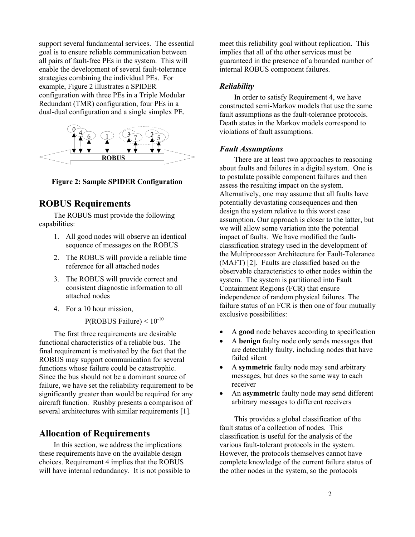support several fundamental services. The essential goal is to ensure reliable communication between all pairs of fault-free PEs in the system. This will enable the development of several fault-tolerance strategies combining the individual PEs. For example, Figure 2 illustrates a SPIDER configuration with three PEs in a Triple Modular Redundant (TMR) configuration, four PEs in a dual-dual configuration and a single simplex PE.



**Figure 2: Sample SPIDER Configuration** 

# **ROBUS Requirements**

The ROBUS must provide the following capabilities:

- 1. All good nodes will observe an identical sequence of messages on the ROBUS
- 2. The ROBUS will provide a reliable time reference for all attached nodes
- 3. The ROBUS will provide correct and consistent diagnostic information to all attached nodes
- 4. For a 10 hour mission,

P(ROBUS Failure)  $< 10^{-10}$ 

The first three requirements are desirable functional characteristics of a reliable bus. The final requirement is motivated by the fact that the ROBUS may support communication for several functions whose failure could be catastrophic. Since the bus should not be a dominant source of failure, we have set the reliability requirement to be significantly greater than would be required for any aircraft function. Rushby presents a comparison of several architectures with similar requirements [1].

# **Allocation of Requirements**

In this section, we address the implications these requirements have on the available design choices. Requirement 4 implies that the ROBUS will have internal redundancy. It is not possible to meet this reliability goal without replication. This implies that all of the other services must be guaranteed in the presence of a bounded number of internal ROBUS component failures.

## *Reliability*

In order to satisfy Requirement 4, we have constructed semi-Markov models that use the same fault assumptions as the fault-tolerance protocols. Death states in the Markov models correspond to violations of fault assumptions.

## *Fault Assumptions*

There are at least two approaches to reasoning about faults and failures in a digital system. One is to postulate possible component failures and then assess the resulting impact on the system. Alternatively, one may assume that all faults have potentially devastating consequences and then design the system relative to this worst case assumption. Our approach is closer to the latter, but we will allow some variation into the potential impact of faults. We have modified the faultclassification strategy used in the development of the Multiprocessor Architecture for Fault-Tolerance (MAFT) [2]. Faults are classified based on the observable characteristics to other nodes within the system. The system is partitioned into Fault Containment Regions (FCR) that ensure independence of random physical failures. The failure status of an FCR is then one of four mutually exclusive possibilities:

- A **good** node behaves according to specification
- A **benign** faulty node only sends messages that are detectably faulty, including nodes that have failed silent
- A **symmetric** faulty node may send arbitrary messages, but does so the same way to each receiver
- An **asymmetric** faulty node may send different arbitrary messages to different receivers

This provides a global classification of the fault status of a collection of nodes. This classification is useful for the analysis of the various fault-tolerant protocols in the system. However, the protocols themselves cannot have complete knowledge of the current failure status of the other nodes in the system, so the protocols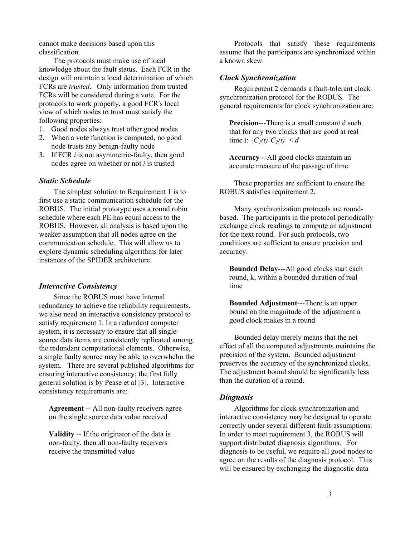cannot make decisions based upon this classification.

The protocols must make use of local knowledge about the fault status. Each FCR in the design will maintain a local determination of which FCRs are *trusted*. Only information from trusted FCRs will be considered during a vote. For the protocols to work properly, a good FCR's local view of which nodes to trust must satisfy the following properties:

- 1. Good nodes always trust other good nodes
- 2. When a vote function is computed, no good node trusts any benign-faulty node
- 3. If FCR *i* is not asymmetric-faulty, then good nodes agree on whether or not *i* is trusted

#### *Static Schedule*

The simplest solution to Requirement 1 is to first use a static communication schedule for the ROBUS. The initial prototype uses a round robin schedule where each PE has equal access to the ROBUS. However, all analysis is based upon the weaker assumption that all nodes agree on the communication schedule. This will allow us to explore dynamic scheduling algorithms for later instances of the SPIDER architecture.

#### *Interactive Consistency*

Since the ROBUS must have internal redundancy to achieve the reliability requirements, we also need an interactive consistency protocol to satisfy requirement 1. In a redundant computer system, it is necessary to ensure that all singlesource data items are consistently replicated among the redundant computational elements. Otherwise, a single faulty source may be able to overwhelm the system. There are several published algorithms for ensuring interactive consistency; the first fully general solution is by Pease et al [3]. Interactive consistency requirements are:

**Agreement** -- All non-faulty receivers agree on the single source data value received

**Validity** -- If the originator of the data is non-faulty, then all non-faulty receivers receive the transmitted value

Protocols that satisfy these requirements assume that the participants are synchronized within a known skew.

#### *Clock Synchronization*

Requirement 2 demands a fault-tolerant clock synchronization protocol for the ROBUS. The general requirements for clock synchronization are:

**Precision**---There is a small constant d such that for any two clocks that are good at real time t:  $|C_1(t)-C_2(t)| \leq d$ 

**Accuracy**---All good clocks maintain an accurate measure of the passage of time

These properties are sufficient to ensure the ROBUS satisfies requirement 2.

Many synchronization protocols are roundbased. The participants in the protocol periodically exchange clock readings to compute an adjustment for the next round. For such protocols, two conditions are sufficient to ensure precision and accuracy.

**Bounded Delay**---All good clocks start each round, k, within a bounded duration of real time

**Bounded Adjustment**---There is an upper bound on the magnitude of the adjustment a good clock makes in a round

Bounded delay merely means that the net effect of all the computed adjustments maintains the precision of the system. Bounded adjustment preserves the accuracy of the synchronized clocks. The adjustment bound should be significantly less than the duration of a round.

#### *Diagnosis*

Algorithms for clock synchronization and interactive consistency may be designed to operate correctly under several different fault-assumptions. In order to meet requirement 3, the ROBUS will support distributed diagnosis algorithms. For diagnosis to be useful, we require all good nodes to agree on the results of the diagnosis protocol. This will be ensured by exchanging the diagnostic data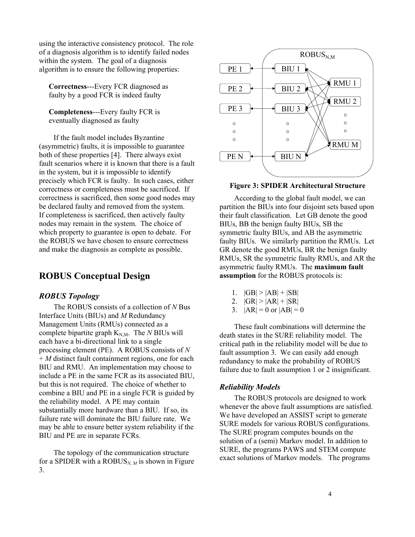using the interactive consistency protocol. The role of a diagnosis algorithm is to identify failed nodes within the system. The goal of a diagnosis algorithm is to ensure the following properties:

**Correctness**---Every FCR diagnosed as faulty by a good FCR is indeed faulty

**Completeness**---Every faulty FCR is eventually diagnosed as faulty

If the fault model includes Byzantine (asymmetric) faults, it is impossible to guarantee both of these properties [4]. There always exist fault scenarios where it is known that there is a fault in the system, but it is impossible to identify precisely which FCR is faulty. In such cases, either correctness or completeness must be sacrificed. If correctness is sacrificed, then some good nodes may be declared faulty and removed from the system. If completeness is sacrificed, then actively faulty nodes may remain in the system. The choice of which property to guarantee is open to debate. For the ROBUS we have chosen to ensure correctness and make the diagnosis as complete as possible.

# **ROBUS Conceptual Design**

## *ROBUS Topology*

The ROBUS consists of a collection of *N* Bus Interface Units (BIUs) and *M* Redundancy Management Units (RMUs) connected as a complete bipartite graph  $K_{N,M}$ . The *N* BIUs will each have a bi-directional link to a single processing element (PE). A ROBUS consists of *N* + *M* distinct fault containment regions, one for each BIU and RMU. An implementation may choose to include a PE in the same FCR as its associated BIU, but this is not required. The choice of whether to combine a BIU and PE in a single FCR is guided by the reliability model. A PE may contain substantially more hardware than a BIU. If so, its failure rate will dominate the BIU failure rate. We may be able to ensure better system reliability if the BIU and PE are in separate FCRs.

The topology of the communication structure for a SPIDER with a  $ROBUS_{N,M}$  is shown in Figure 3.



## **Figure 3: SPIDER Architectural Structure**

According to the global fault model, we can partition the BIUs into four disjoint sets based upon their fault classification. Let GB denote the good BIUs, BB the benign faulty BIUs, SB the symmetric faulty BIUs, and AB the asymmetric faulty BIUs. We similarly partition the RMUs. Let GR denote the good RMUs, BR the benign faulty RMUs, SR the symmetric faulty RMUs, and AR the asymmetric faulty RMUs. The **maximum fault assumption** for the ROBUS protocols is:

- 1.  $|GB| > |AB| + |SB|$
- 2.  $|GR| > |AR| + |SR|$
- 3.  $|AR| = 0$  or  $|AB| = 0$

These fault combinations will determine the death states in the SURE reliability model. The critical path in the reliability model will be due to fault assumption 3. We can easily add enough redundancy to make the probability of ROBUS failure due to fault assumption 1 or 2 insignificant.

## *Reliability Models*

The ROBUS protocols are designed to work whenever the above fault assumptions are satisfied. We have developed an ASSIST script to generate SURE models for various ROBUS configurations. The SURE program computes bounds on the solution of a (semi) Markov model. In addition to SURE, the programs PAWS and STEM compute exact solutions of Markov models. The programs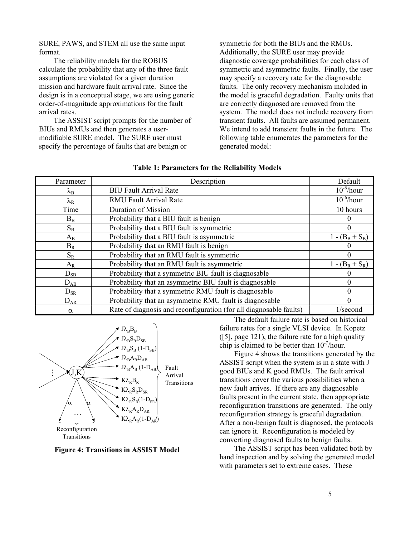SURE, PAWS, and STEM all use the same input format.

The reliability models for the ROBUS calculate the probability that any of the three fault assumptions are violated for a given duration mission and hardware fault arrival rate. Since the design is in a conceptual stage, we are using generic order-of-magnitude approximations for the fault arrival rates.

The ASSIST script prompts for the number of BIUs and RMUs and then generates a usermodifiable SURE model. The SURE user must specify the percentage of faults that are benign or

symmetric for both the BIUs and the RMUs. Additionally, the SURE user may provide diagnostic coverage probabilities for each class of symmetric and asymmetric faults. Finally, the user may specify a recovery rate for the diagnosable faults. The only recovery mechanism included in the model is graceful degradation. Faulty units that are correctly diagnosed are removed from the system. The model does not include recovery from transient faults. All faults are assumed permanent. We intend to add transient faults in the future. The following table enumerates the parameters for the generated model:

| Parameter         | Description                                                        | Default           |
|-------------------|--------------------------------------------------------------------|-------------------|
| $\lambda_{\rm B}$ | <b>BIU Fault Arrival Rate</b>                                      | $10^{-6}/$ hour   |
| $\lambda_{\rm R}$ | <b>RMU Fault Arrival Rate</b>                                      | $10^{-6}/$ hour   |
| Time              | <b>Duration of Mission</b>                                         | 10 hours          |
| $B_B$             | Probability that a BIU fault is benign                             |                   |
| $S_B$             | Probability that a BIU fault is symmetric                          | $^{(1)}$          |
| $A_B$             | Probability that a BIU fault is asymmetric                         | $1 - (B_B + S_B)$ |
| $B_R$             | Probability that an RMU fault is benign                            |                   |
| $S_{R}$           | Probability that an RMU fault is symmetric                         | 0                 |
| $A_{R}$           | Probability that an RMU fault is asymmetric                        | $1 - (B_R + S_R)$ |
| $D_{SB}$          | Probability that a symmetric BIU fault is diagnosable              |                   |
| $D_{AB}$          | Probability that an asymmetric BIU fault is diagnosable            | 0                 |
| $D_{SR}$          | Probability that a symmetric RMU fault is diagnosable              | 0                 |
| $D_{AR}$          | Probability that an asymmetric RMU fault is diagnosable            | 0                 |
| $\alpha$          | Rate of diagnosis and reconfiguration (for all diagnosable faults) | 1/second          |

|  | <b>Table 1: Parameters for the Reliability Models</b> |  |  |
|--|-------------------------------------------------------|--|--|
|  |                                                       |  |  |



**Figure 4: Transitions in ASSIST Model** 

The default failure rate is based on historical failure rates for a single VLSI device. In Kopetz  $(5)$ , page 121), the failure rate for a high quality chip is claimed to be better than  $10^{-7}/$ hour.

Figure 4 shows the transitions generated by the ASSIST script when the system is in a state with J good BIUs and K good RMUs. The fault arrival transitions cover the various possibilities when a new fault arrives. If there are any diagnosable faults present in the current state, then appropriate reconfiguration transitions are generated. The only reconfiguration strategy is graceful degradation. After a non-benign fault is diagnosed, the protocols can ignore it. Reconfiguration is modeled by converting diagnosed faults to benign faults.

The ASSIST script has been validated both by hand inspection and by solving the generated model with parameters set to extreme cases. These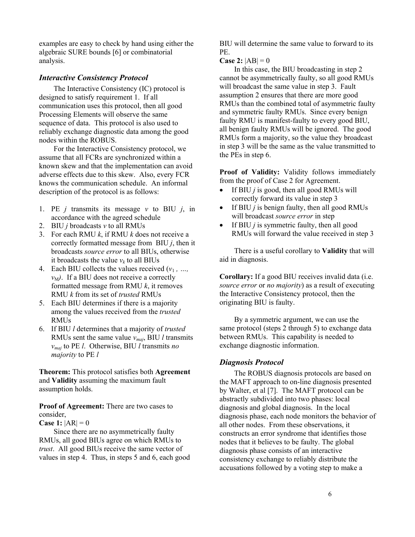examples are easy to check by hand using either the algebraic SURE bounds [6] or combinatorial analysis.

## *Interactive Consistency Protocol*

The Interactive Consistency (IC) protocol is designed to satisfy requirement 1. If all communication uses this protocol, then all good Processing Elements will observe the same sequence of data. This protocol is also used to reliably exchange diagnostic data among the good nodes within the ROBUS.

For the Interactive Consistency protocol, we assume that all FCRs are synchronized within a known skew and that the implementation can avoid adverse effects due to this skew. Also, every FCR knows the communication schedule. An informal description of the protocol is as follows:

- 1. PE *j* transmits its message *v* to BIU *j*, in accordance with the agreed schedule
- 2. BIU *j* broadcasts *v* to all RMUs
- 3. For each RMU *k*, if RMU *k* does not receive a correctly formatted message from BIU *j*, then it broadcasts *source error* to all BIUs, otherwise it broadcasts the value  $v_k$  to all BIUs
- 4. Each BIU collects the values received  $(v_1, ...,$  $v_M$ ). If a BIU does not receive a correctly formatted message from RMU *k*, it removes RMU *k* from its set of *trusted* RMUs
- 5. Each BIU determines if there is a majority among the values received from the *trusted* RMUs
- 6. If BIU *l* determines that a majority of *trusted* RMUs sent the same value *vmaj*, BIU *l* transmits *vmaj* to PE *l*. Otherwise, BIU *l* transmits *no majority* to PE *l*

**Theorem:** This protocol satisfies both **Agreement** and **Validity** assuming the maximum fault assumption holds.

## **Proof of Agreement:** There are two cases to consider,

**Case 1:**  $|AR| = 0$ 

Since there are no asymmetrically faulty RMUs, all good BIUs agree on which RMUs to *trust*. All good BIUs receive the same vector of values in step 4. Thus, in steps 5 and 6, each good BIU will determine the same value to forward to its PE.

**Case 2:**  $|AB| = 0$ 

In this case, the BIU broadcasting in step 2 cannot be asymmetrically faulty, so all good RMUs will broadcast the same value in step 3. Fault assumption 2 ensures that there are more good RMUs than the combined total of asymmetric faulty and symmetric faulty RMUs. Since every benign faulty RMU is manifest-faulty to every good BIU, all benign faulty RMUs will be ignored. The good RMUs form a majority, so the value they broadcast in step 3 will be the same as the value transmitted to the PEs in step 6.

**Proof of Validity:** Validity follows immediately from the proof of Case 2 for Agreement.

- If BIU *j* is good, then all good RMUs will correctly forward its value in step 3
- If BIU *j* is benign faulty, then all good RMUs will broadcast *source error* in step
- If BIU *j* is symmetric faulty, then all good RMUs will forward the value received in step 3

There is a useful corollary to **Validity** that will aid in diagnosis.

**Corollary:** If a good BIU receives invalid data (i.e. *source error* or *no majority*) as a result of executing the Interactive Consistency protocol, then the originating BIU is faulty.

By a symmetric argument, we can use the same protocol (steps 2 through 5) to exchange data between RMUs. This capability is needed to exchange diagnostic information.

# *Diagnosis Protocol*

The ROBUS diagnosis protocols are based on the MAFT approach to on-line diagnosis presented by Walter, et al [7]. The MAFT protocol can be abstractly subdivided into two phases: local diagnosis and global diagnosis. In the local diagnosis phase, each node monitors the behavior of all other nodes. From these observations, it constructs an error syndrome that identifies those nodes that it believes to be faulty. The global diagnosis phase consists of an interactive consistency exchange to reliably distribute the accusations followed by a voting step to make a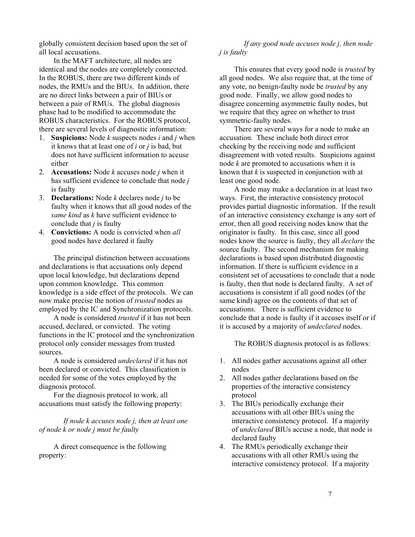globally consistent decision based upon the set of all local accusations.

In the MAFT architecture, all nodes are identical and the nodes are completely connected. In the ROBUS, there are two different kinds of nodes, the RMUs and the BIUs. In addition, there are no direct links between a pair of BIUs or between a pair of RMUs. The global diagnosis phase had to be modified to accommodate the ROBUS characteristics. For the ROBUS protocol, there are several levels of diagnostic information:

- 1. **Suspicions:** Node *k* suspects nodes *i* and *j* when it knows that at least one of *i* or *j* is bad, but does not have sufficient information to accuse either
- 2. **Accusations:** Node *k* accuses node *j* when it has sufficient evidence to conclude that node *j* is faulty
- 3. **Declarations:** Node *k* declares node *j* to be faulty when it knows that all good nodes of the *same kind* as *k* have sufficient evidence to conclude that *j* is faulty
- 4. **Convictions:** A node is convicted when *all* good nodes have declared it faulty

The principal distinction between accusations and declarations is that accusations only depend upon local knowledge, but declarations depend upon common knowledge. This common knowledge is a side effect of the protocols. We can now make precise the notion of *trusted* nodes as employed by the IC and Synchronization protocols.

A node is considered *trusted* if it has not been accused, declared, or convicted. The voting functions in the IC protocol and the synchronization protocol only consider messages from trusted sources.

A node is considered *undeclared* if it has not been declared or convicted. This classification is needed for some of the votes employed by the diagnosis protocol.

For the diagnosis protocol to work, all accusations must satisfy the following property:

*If node k accuses node j, then at least one of node k or node j must be faulty* 

A direct consequence is the following property:

#### *If any good node accuses node j, then node j is faulty*

This ensures that every good node is *trusted* by all good nodes. We also require that, at the time of any vote, no benign-faulty node be *trusted* by any good node. Finally, we allow good nodes to disagree concerning asymmetric faulty nodes, but we require that they agree on whether to trust symmetric-faulty nodes.

There are several ways for a node to make an accusation. These include both direct error checking by the receiving node and sufficient disagreement with voted results. Suspicions against node *k* are promoted to accusations when it is known that *k* is suspected in conjunction with at least one good node.

A node may make a declaration in at least two ways. First, the interactive consistency protocol provides partial diagnostic information. If the result of an interactive consistency exchange is any sort of error, then all good receiving nodes know that the originator is faulty. In this case, since all good nodes know the source is faulty, they all *declare* the source faulty. The second mechanism for making declarations is based upon distributed diagnostic information. If there is sufficient evidence in a consistent set of accusations to conclude that a node is faulty, then that node is declared faulty. A set of accusations is consistent if all good nodes (of the same kind) agree on the contents of that set of accusations. There is sufficient evidence to conclude that a node is faulty if it accuses itself or if it is accused by a majority of *undeclared* nodes.

The ROBUS diagnosis protocol is as follows:

- 1. All nodes gather accusations against all other nodes
- 2. All nodes gather declarations based on the properties of the interactive consistency protocol
- 3. The BIUs periodically exchange their accusations with all other BIUs using the interactive consistency protocol. If a majority of *undeclared* BIUs accuse a node, that node is declared faulty
- 4. The RMUs periodically exchange their accusations with all other RMUs using the interactive consistency protocol. If a majority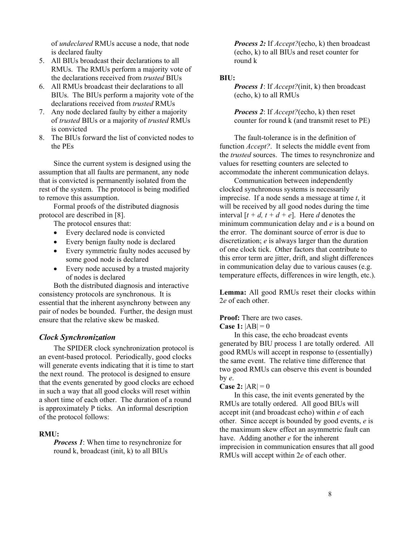of *undeclared* RMUs accuse a node, that node is declared faulty

- 5. All BIUs broadcast their declarations to all RMUs. The RMUs perform a majority vote of the declarations received from *trusted* BIUs
- 6. All RMUs broadcast their declarations to all BIUs. The BIUs perform a majority vote of the declarations received from *trusted* RMUs
- 7. Any node declared faulty by either a majority of *trusted* BIUs or a majority of *trusted* RMUs is convicted
- 8. The BIUs forward the list of convicted nodes to the PEs

Since the current system is designed using the assumption that all faults are permanent, any node that is convicted is permanently isolated from the rest of the system. The protocol is being modified to remove this assumption.

Formal proofs of the distributed diagnosis protocol are described in [8].

The protocol ensures that:

- Every declared node is convicted
- Every benign faulty node is declared
- Every symmetric faulty nodes accused by some good node is declared
- Every node accused by a trusted majority of nodes is declared

Both the distributed diagnosis and interactive consistency protocols are synchronous. It is essential that the inherent asynchrony between any pair of nodes be bounded. Further, the design must ensure that the relative skew be masked.

### *Clock Synchronization*

The SPIDER clock synchronization protocol is an event-based protocol. Periodically, good clocks will generate events indicating that it is time to start the next round. The protocol is designed to ensure that the events generated by good clocks are echoed in such a way that all good clocks will reset within a short time of each other. The duration of a round is approximately P ticks. An informal description of the protocol follows:

#### **RMU:**

*Process 1*: When time to resynchronize for round k, broadcast (init, k) to all BIUs

*Process 2:* If *Accept?*(echo, k) then broadcast (echo, k) to all BIUs and reset counter for round k

#### **BIU:**

*Process 1*: If *Accept?*(init, k) then broadcast (echo, k) to all RMUs

*Process 2*: If *Accept?*(echo, k) then reset counter for round k (and transmit reset to PE)

The fault-tolerance is in the definition of function *Accept?*. It selects the middle event from the *trusted* sources. The times to resynchronize and values for resetting counters are selected to accommodate the inherent communication delays.

Communication between independently clocked synchronous systems is necessarily imprecise. If a node sends a message at time *t*, it will be received by all good nodes during the time interval  $[t + d, t + d + e]$ . Here *d* denotes the minimum communication delay and *e* is a bound on the error. The dominant source of error is due to discretization; *e* is always larger than the duration of one clock tick. Other factors that contribute to this error term are jitter, drift, and slight differences in communication delay due to various causes (e.g. temperature effects, differences in wire length, etc.).

**Lemma:** All good RMUs reset their clocks within 2*e* of each other.

# **Proof:** There are two cases.

#### **Case 1:**  $|AB| = 0$

In this case, the echo broadcast events generated by BIU process 1 are totally ordered. All good RMUs will accept in response to (essentially) the same event. The relative time difference that two good RMUs can observe this event is bounded by *e*.

#### **Case 2:**  $|AR| = 0$

In this case, the init events generated by the RMUs are totally ordered. All good BIUs will accept init (and broadcast echo) within *e* of each other. Since accept is bounded by good events, *e* is the maximum skew effect an asymmetric fault can have. Adding another *e* for the inherent imprecision in communication ensures that all good RMUs will accept within 2*e* of each other.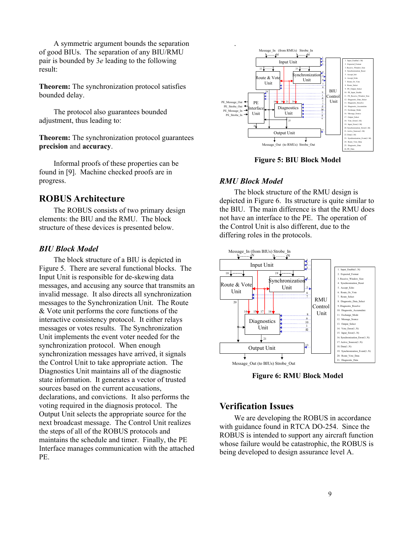A symmetric argument bounds the separation of good BIUs. The separation of any BIU/RMU pair is bounded by 3*e* leading to the following result:

**Theorem:** The synchronization protocol satisfies bounded delay.

The protocol also guarantees bounded adjustment, thus leading to:

**Theorem:** The synchronization protocol guarantees **precision** and **accuracy**.

Informal proofs of these properties can be found in [9]. Machine checked proofs are in progress.

# **ROBUS Architecture**

The ROBUS consists of two primary design elements: the BIU and the RMU. The block structure of these devices is presented below.

#### *BIU Block Model*

The block structure of a BIU is depicted in Figure 5. There are several functional blocks. The Input Unit is responsible for de-skewing data messages, and accusing any source that transmits an invalid message. It also directs all synchronization messages to the Synchronization Unit. The Route & Vote unit performs the core functions of the interactive consistency protocol. It either relays messages or votes results. The Synchronization Unit implements the event voter needed for the synchronization protocol. When enough synchronization messages have arrived, it signals the Control Unit to take appropriate action. The Diagnostics Unit maintains all of the diagnostic state information. It generates a vector of trusted sources based on the current accusations, declarations, and convictions. It also performs the voting required in the diagnosis protocol. The Output Unit selects the appropriate source for the next broadcast message. The Control Unit realizes the steps of all of the ROBUS protocols and maintains the schedule and timer. Finally, the PE Interface manages communication with the attached PE.



**Figure 5: BIU Block Model** 

#### *RMU Block Model*

The block structure of the RMU design is depicted in Figure 6. Its structure is quite similar to the BIU. The main difference is that the RMU does not have an interface to the PE. The operation of the Control Unit is also different, due to the differing roles in the protocols.



**Figure 6: RMU Block Model** 

# **Verification Issues**

We are developing the ROBUS in accordance with guidance found in RTCA DO-254. Since the ROBUS is intended to support any aircraft function whose failure would be catastrophic, the ROBUS is being developed to design assurance level A.